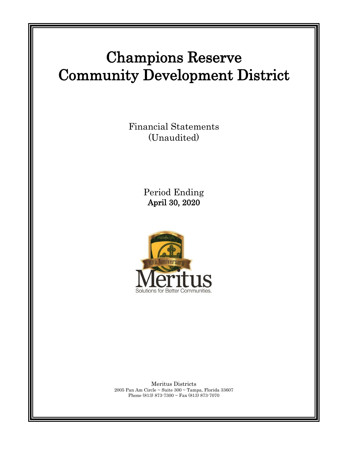# Champions Reserve Community Development District

Financial Statements (Unaudited)

> Period Ending April 30, 2020



Meritus Districts 2005 Pan Am Circle ~ Suite 300 ~ Tampa, Florida 33607 Phone (813) 873-7300 ~ Fax (813) 873-7070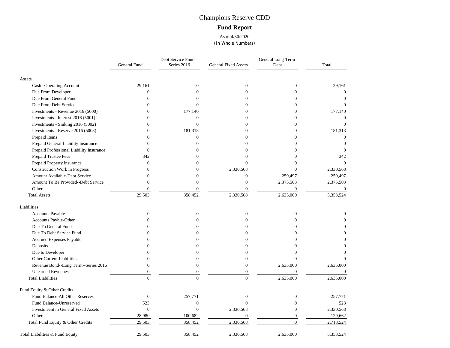# Champions Reserve CDD **Fund Report**

As of 4/30/2020 (In Whole Numbers)

|                                            | General Fund     | Debt Service Fund -<br>Series 2016 | <b>General Fixed Assets</b> | General Long-Term<br>Debt | Total        |
|--------------------------------------------|------------------|------------------------------------|-----------------------------|---------------------------|--------------|
| Assets                                     |                  |                                    |                             |                           |              |
| Cash--Operating Account                    | 29,161           | $\mathbf{0}$                       | $\mathbf{0}$                | $\boldsymbol{0}$          | 29,161       |
| Due From Developer                         | $\boldsymbol{0}$ | $\theta$                           | $\theta$                    | $\theta$                  | $\mathbf{0}$ |
| Due From General Fund                      | $\Omega$         | $\Omega$                           | $\Omega$                    | $\Omega$                  | $\Omega$     |
| Due From Debt Service                      | $\Omega$         | $\Omega$                           | $\Omega$                    | $\Omega$                  | $\Omega$     |
| Investments - Revenue 2016 (5000)          | $\theta$         | 177,140                            | $\Omega$                    |                           | 177,140      |
| Investments - Interest 2016 (5001)         | $\theta$         | $\overline{0}$                     | $\Omega$                    | $\Omega$                  | $\theta$     |
| Investments - Sinking 2016 (5002)          | $\overline{0}$   | $\overline{0}$                     | $\theta$                    | 0                         | $\Omega$     |
| Investments - Reserve 2016 (5003)          | $\Omega$         | 181,313                            | $\Omega$                    | $\Omega$                  | 181,313      |
| Prepaid Items                              | $\Omega$         | $\overline{0}$                     | $\Omega$                    | 0                         | $\theta$     |
| Prepaid General Liability Insurance        | 0                | $\Omega$                           | $\Omega$                    | $\Omega$                  | $\Omega$     |
| Prepaid Professional Liability Insurance   | $\Omega$         | 0                                  | $\theta$                    | 0                         | $\theta$     |
| Prepaid Trustee Fees                       | 342              | 0                                  | $\Omega$                    |                           | 342          |
| Prepaid Property Insurance                 | $\mathbf{0}$     | O                                  | $\theta$                    | $\Omega$                  | $\Omega$     |
| Construction Work in Progress              | $\theta$         | 0                                  | 2,330,568                   | $\Omega$                  | 2,330,568    |
| Amount Available-Debt Service              | $\Omega$         | 0                                  | $\overline{0}$              | 259,497                   | 259,497      |
| Amount To Be Provided--Debt Service        | $\overline{0}$   | $\overline{0}$                     | $\overline{0}$              | 2,375,503                 | 2,375,503    |
| Other                                      | $\overline{0}$   | $\overline{0}$                     | $\overline{0}$              | $\overline{0}$            | $\mathbf{0}$ |
| <b>Total Assets</b>                        | 29,503           | 358,452                            | 2,330,568                   | 2,635,000                 | 5,353,524    |
| Liabilities                                |                  |                                    |                             |                           |              |
| Accounts Payable                           | $\mathbf{0}$     | $\mathbf{0}$                       | $\mathbf{0}$                | $\overline{0}$            | 0            |
| Accounts Payble-Other                      | $\theta$         | $\theta$                           | $\theta$                    | $\theta$                  | $\theta$     |
| Due To General Fund                        | $\Omega$         | O                                  | $\Omega$                    | $\Omega$                  |              |
| Due To Debt Service Fund                   | $\Omega$         | 0                                  | $\Omega$                    | 0                         |              |
| Accrued Expenses Payable                   |                  |                                    | $\Omega$                    |                           |              |
| Deposits                                   | 0                |                                    | $\Omega$                    |                           | 0            |
| Due to Developer                           | 0                |                                    | $\Omega$                    |                           | $\Omega$     |
| Other Current Liabilities                  | $\theta$         | 0                                  | $\theta$                    | $\Omega$                  |              |
| Revenue Bond--Long Term--Series 2016       | $\overline{0}$   | $\overline{0}$                     | $\overline{0}$              | 2,635,000                 | 2,635,000    |
| <b>Unearned Revenues</b>                   | $\Omega$         | $\theta$                           | $\theta$                    | $\overline{0}$            | $\theta$     |
| <b>Total Liabilities</b>                   | $\Omega$         | $\theta$                           | $\Omega$                    | 2,635,000                 | 2,635,000    |
| Fund Equity & Other Credits                |                  |                                    |                             |                           |              |
| Fund Balance-All Other Reserves            | $\boldsymbol{0}$ | 257,771                            | $\overline{0}$              | $\overline{0}$            | 257,771      |
| Fund Balance-Unreserved                    | 523              | $\overline{0}$                     | $\Omega$                    | $\theta$                  | 523          |
| <b>Investmeent in General Fixed Assets</b> | $\overline{0}$   | $\overline{0}$                     | 2,330,568                   | $\Omega$                  | 2,330,568    |
| Other                                      | 28,980           | 100,682                            | $\boldsymbol{0}$            | $\overline{0}$            | 129,662      |
| Total Fund Equity & Other Credits          | 29,503           | 358,452                            | 2,330,568                   | $\overline{0}$            | 2,718,524    |
| Total Liabilities & Fund Equity            | 29,503           | 358,452                            | 2,330,568                   | 2,635,000                 | 5,353,524    |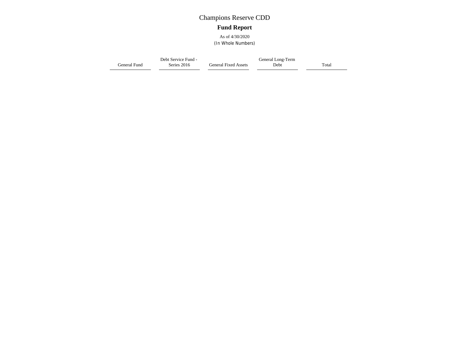# Champions Reserve CDD **Fund Report**

As of 4/30/2020 (In Whole Numbers)

General Fund Series 2016 Debt Service Fund - General Fixed Assets Debt General Long-Term Total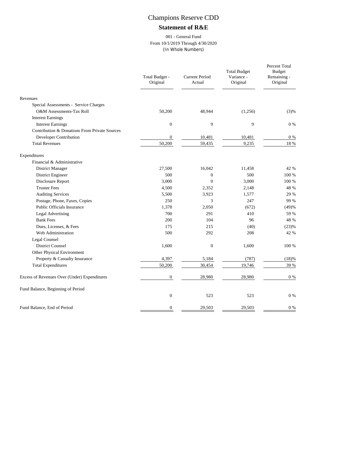# Champions Reserve CDD

### **Statement of R&E**

#### 001 - General Fund From 10/1/2019 Through 4/30/2020 (In Whole Numbers)

|                                               | Total Budget -<br>Original | <b>Current Period</b><br>Actual | <b>Total Budget</b><br>Variance -<br>Original | Percent Total<br>Budget<br>Remaining -<br>Original |
|-----------------------------------------------|----------------------------|---------------------------------|-----------------------------------------------|----------------------------------------------------|
| Revenues                                      |                            |                                 |                                               |                                                    |
| Special Assessments - Service Charges         |                            |                                 |                                               |                                                    |
| O&M Assessments-Tax Roll                      | 50,200                     | 48,944                          | (1,256)                                       | (3)%                                               |
| <b>Interest Earnings</b>                      |                            |                                 |                                               |                                                    |
| <b>Interest Earnings</b>                      | $\overline{0}$             | 9                               | 9                                             | $0\%$                                              |
| Contribution & Donations From Private Sources |                            |                                 |                                               |                                                    |
| Developer Contribution                        | $\boldsymbol{0}$           | 10,481                          | 10,481                                        | $0\%$                                              |
| <b>Total Revenues</b>                         | 50,200                     | 59,435                          | 9,235                                         | 18 %                                               |
| Expenditures                                  |                            |                                 |                                               |                                                    |
| Financial & Administrative                    |                            |                                 |                                               |                                                    |
| District Manager                              | 27,500                     | 16,042                          | 11,458                                        | 42 %                                               |
| District Engineer                             | 500                        | $\mathbf{0}$                    | 500                                           | 100 %                                              |
| Disclosure Report                             | 3,000                      | $\overline{0}$                  | 3,000                                         | 100 %                                              |
| <b>Trustee Fees</b>                           | 4,500                      | 2,352                           | 2,148                                         | 48 %                                               |
| <b>Auditing Services</b>                      | 5,500                      | 3,923                           | 1,577                                         | 29 %                                               |
| Postage, Phone, Faxes, Copies                 | 250                        | 3                               | 247                                           | 99 %                                               |
| Public Officials Insurance                    | 1,378                      | 2,050                           | (672)                                         | (49)%                                              |
| <b>Legal Advertising</b>                      | 700                        | 291                             | 410                                           | 59 %                                               |
| <b>Bank Fees</b>                              | 200                        | 104                             | 96                                            | 48 %                                               |
| Dues, Licenses, & Fees                        | 175                        | 215                             | (40)                                          | (23)%                                              |
| Web Administration                            | 500                        | 292                             | 208                                           | 42 %                                               |
| Legal Counsel                                 |                            |                                 |                                               |                                                    |
| <b>District Counsel</b>                       | 1,600                      | $\mathbf{0}$                    | 1,600                                         | 100 %                                              |
| Other Physical Environment                    |                            |                                 |                                               |                                                    |
| Property & Casualty Insurance                 | 4,397                      | 5,184                           | (787)                                         | (18)%                                              |
| <b>Total Expenditures</b>                     | 50,200                     | 30,454                          | 19,746                                        | 39 %                                               |
| Excess of Revenues Over (Under) Expenditures  | $\boldsymbol{0}$           | 28,980                          | 28,980                                        | $0\%$                                              |
| Fund Balance, Beginning of Period             |                            |                                 |                                               |                                                    |
|                                               | $\boldsymbol{0}$           | 523                             | 523                                           | $0\%$                                              |
| Fund Balance, End of Period                   | 0                          | 29,503                          | 29,503                                        | $0\ \%$                                            |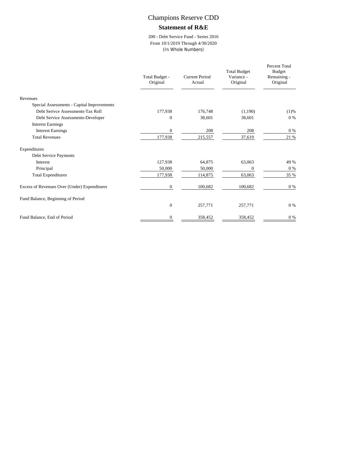# Champions Reserve CDD

#### **Statement of R&E**

200 - Debt Service Fund - Series 2016 From 10/1/2019 Through 4/30/2020 (In Whole Numbers)

|                                              | Total Budget -<br>Original | Current Period<br>Actual | <b>Total Budget</b><br>Variance -<br>Original | Percent Total<br><b>Budget</b><br>Remaining -<br>Original |
|----------------------------------------------|----------------------------|--------------------------|-----------------------------------------------|-----------------------------------------------------------|
| Revenues                                     |                            |                          |                                               |                                                           |
| Special Assessments - Capital Improvements   |                            |                          |                                               |                                                           |
| Debt Serivce Assessments-Tax Roll            | 177,938                    | 176,748                  | (1,190)                                       | (1)%                                                      |
| Debt Service Assessments-Developer           | $\mathbf{0}$               | 38,601                   | 38,601                                        | $0\%$                                                     |
| <b>Interest Earnings</b>                     |                            |                          |                                               |                                                           |
| <b>Interest Earnings</b>                     | 0                          | 208                      | 208                                           | $0\%$                                                     |
| <b>Total Revenues</b>                        | 177,938                    | 215,557                  | 37,619                                        | 21 %                                                      |
| Expenditures                                 |                            |                          |                                               |                                                           |
| Debt Service Payments                        |                            |                          |                                               |                                                           |
| Interest                                     | 127,938                    | 64,875                   | 63,063                                        | 49 %                                                      |
| Principal                                    | 50,000                     | 50,000                   | $\mathbf{0}$                                  | $0\%$                                                     |
| <b>Total Expenditures</b>                    | 177,938                    | 114,875                  | 63,063                                        | 35 %                                                      |
| Excess of Revenues Over (Under) Expenditures | $\mathbf{0}$               | 100,682                  | 100,682                                       | $0\%$                                                     |
| Fund Balance, Beginning of Period            |                            |                          |                                               |                                                           |
|                                              | $\mathbf{0}$               | 257,771                  | 257,771                                       | $0\%$                                                     |
| Fund Balance, End of Period                  | $\mathbf{0}$               | 358,452                  | 358,452                                       | $0\%$                                                     |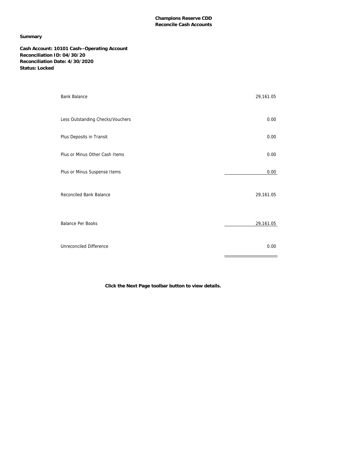#### **Champions Reserve CDD Reconcile Cash Accounts**

#### **Summary**

**Cash Account: 10101 Cash--Operating Account Reconciliation ID: 04/30/20 Reconciliation Date: 4/30/2020 Status: Locked**

| <b>Bank Balance</b>              | 29,161.05 |
|----------------------------------|-----------|
| Less Outstanding Checks/Vouchers | 0.00      |
| Plus Deposits in Transit         | 0.00      |
| Plus or Minus Other Cash Items   | 0.00      |
| Plus or Minus Suspense Items     | 0.00      |
| Reconciled Bank Balance          | 29,161.05 |
| Balance Per Books                | 29,161.05 |
| Unreconciled Difference          | 0.00      |

**Click the Next Page toolbar button to view details.**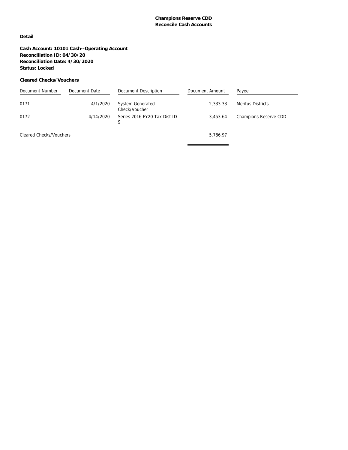#### **Detail**

**Cash Account: 10101 Cash--Operating Account Reconciliation ID: 04/30/20 Reconciliation Date: 4/30/2020 Status: Locked**

#### **Cleared Checks/Vouchers**

| Document Number         | Document Date | Document Description                     | Document Amount | Payee                 |
|-------------------------|---------------|------------------------------------------|-----------------|-----------------------|
| 0171                    | 4/1/2020      | <b>System Generated</b><br>Check/Voucher | 2.333.33        | Meritus Districts     |
| 0172                    | 4/14/2020     | Series 2016 FY20 Tax Dist ID<br>9        | 3.453.64        | Champions Reserve CDD |
| Cleared Checks/Vouchers |               |                                          | 5.786.97        |                       |
|                         |               |                                          |                 |                       |